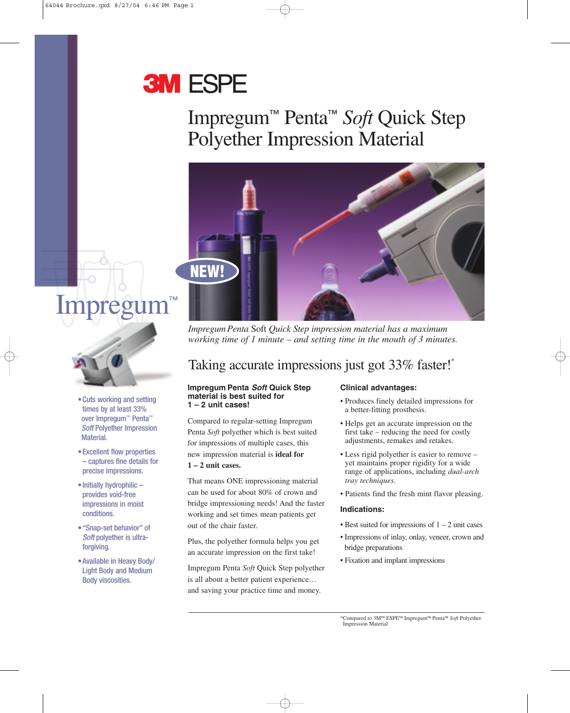# **3M ESPE**

## Impregum™ Penta™ *Soft* Quick Step Polyether Impression Material



**Impregu** 



- •Cuts working and setting times by at least 33% over Impregum™ Penta™ *Soft* Polyether Impression Material.
- •Excellent flow properties – captures fine details for precise impressions.
- Initially hydrophilic provides void-free impressions in moist conditions.
- •"Snap-set behavior" of *Soft* polyether is ultraforgiving.
- •Available in Heavy Body/ Light Body and Medium Body viscosities.

*Impregum Penta* Soft *Quick Step impression material has a maximum working time of 1 minute – and setting time in the mouth of 3 minutes.*

### Taking accurate impressions just got 33% faster!<sup>\*</sup>

#### **Impregum Penta** *Soft* **Quick Step material is best suited for 1 – 2 unit cases!**

Compared to regular-setting Impregum Penta *Soft* polyether which is best suited for impressions of multiple cases, this new impression material is **ideal for 1 – 2 unit cases.** 

That means ONE impressioning material can be used for about 80% of crown and bridge impressioning needs! And the faster working and set times mean patients get out of the chair faster.

Plus, the polyether formula helps you get an accurate impression on the first take!

Impregum Penta *Soft* Quick Step polyether is all about a better patient experience… and saving your practice time and money.

#### **Clinical advantages:**

- Produces finely detailed impressions for a better-fitting prosthesis.
- Helps get an accurate impression on the first take – reducing the need for costly adjustments, remakes and retakes.
- Less rigid polyether is easier to remove yet maintains proper rigidity for a wide range of applications, including *dual-arch tray techniques*.
- Patients find the fresh mint flavor pleasing.

#### **Indications:**

- Best suited for impressions of  $1 2$  unit cases
- Impressions of inlay, onlay, veneer, crown and bridge preparations
- Fixation and implant impressions